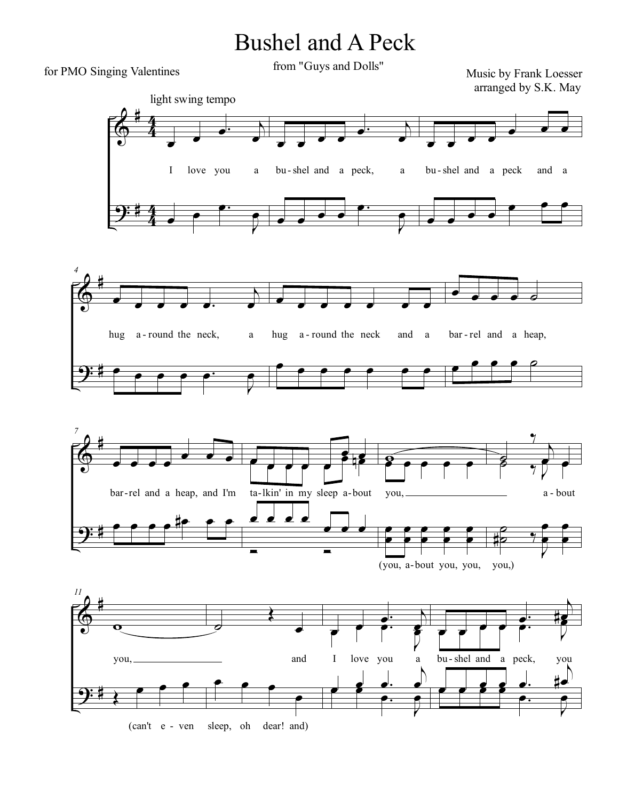## Bushel and A Peck

for PMO Singing Valentines

from "Guys and Dolls"

Music by Frank Loesser arranged by S.K. May